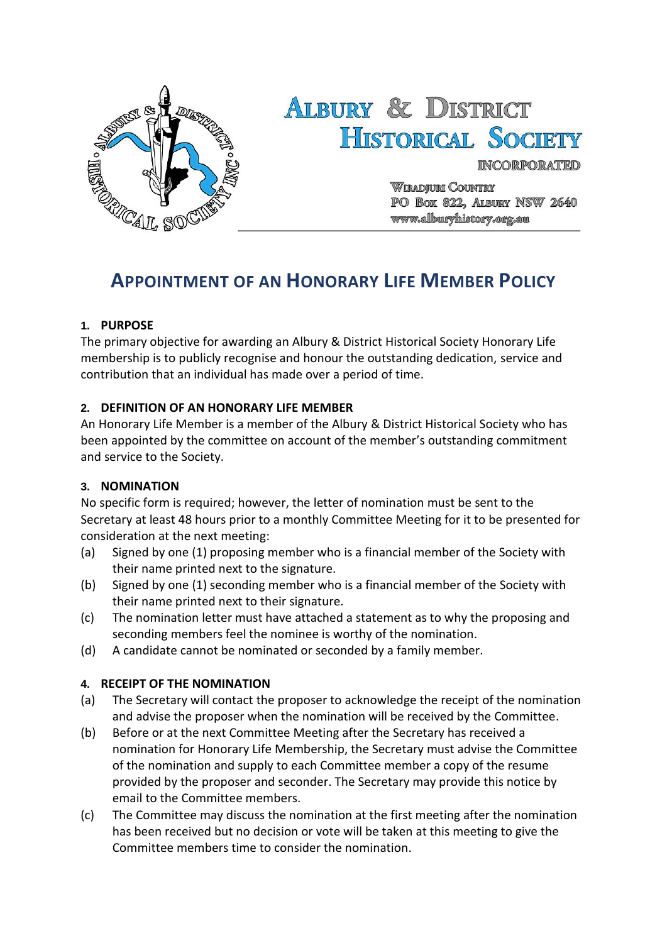

# **ALBURY & DISTRICT HISTORICAL SOCIETY**

**INCORPORATED** 

**Wiradjuri Country** PO BOX 822, ALBURY NSW 2640 www.allburyhistory.org.au

# **APPOINTMENT OF AN HONORARY LIFE MEMBER POLICY**

#### **1. PURPOSE**

The primary objective for awarding an Albury & District Historical Society Honorary Life membership is to publicly recognise and honour the outstanding dedication, service and contribution that an individual has made over a period of time.

#### **2. DEFINITION OF AN HONORARY LIFE MEMBER**

An Honorary Life Member is a member of the Albury & District Historical Society who has been appointed by the committee on account of the member's outstanding commitment and service to the Society.

#### **3. NOMINATION**

No specific form is required; however, the letter of nomination must be sent to the Secretary at least 48 hours prior to a monthly Committee Meeting for it to be presented for consideration at the next meeting:

- (a) Signed by one (1) proposing member who is a financial member of the Society with their name printed next to the signature.
- (b) Signed by one (1) seconding member who is a financial member of the Society with their name printed next to their signature.
- (c) The nomination letter must have attached a statement as to why the proposing and seconding members feel the nominee is worthy of the nomination.
- (d) A candidate cannot be nominated or seconded by a family member.

# **4. RECEIPT OF THE NOMINATION**

- (a) The Secretary will contact the proposer to acknowledge the receipt of the nomination and advise the proposer when the nomination will be received by the Committee.
- (b) Before or at the next Committee Meeting after the Secretary has received a nomination for Honorary Life Membership, the Secretary must advise the Committee of the nomination and supply to each Committee member a copy of the resume provided by the proposer and seconder. The Secretary may provide this notice by email to the Committee members.
- (c) The Committee may discuss the nomination at the first meeting after the nomination has been received but no decision or vote will be taken at this meeting to give the Committee members time to consider the nomination.